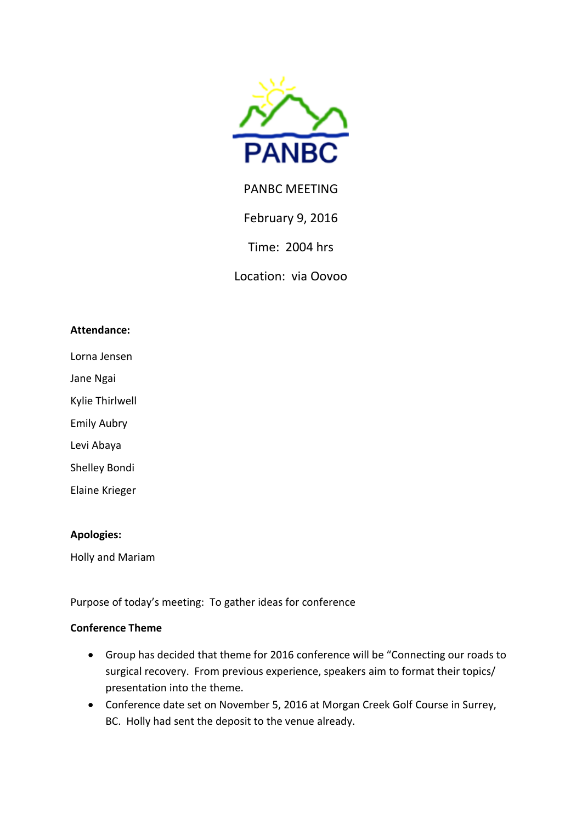

# PANBC MEETING

February 9, 2016

Time: 2004 hrs

Location: via Oovoo

#### **Attendance:**

Lorna Jensen

Jane Ngai

Kylie Thirlwell

Emily Aubry

Levi Abaya

Shelley Bondi

Elaine Krieger

#### **Apologies:**

Holly and Mariam

Purpose of today's meeting: To gather ideas for conference

#### **Conference Theme**

- Group has decided that theme for 2016 conference will be "Connecting our roads to surgical recovery. From previous experience, speakers aim to format their topics/ presentation into the theme.
- Conference date set on November 5, 2016 at Morgan Creek Golf Course in Surrey, BC. Holly had sent the deposit to the venue already.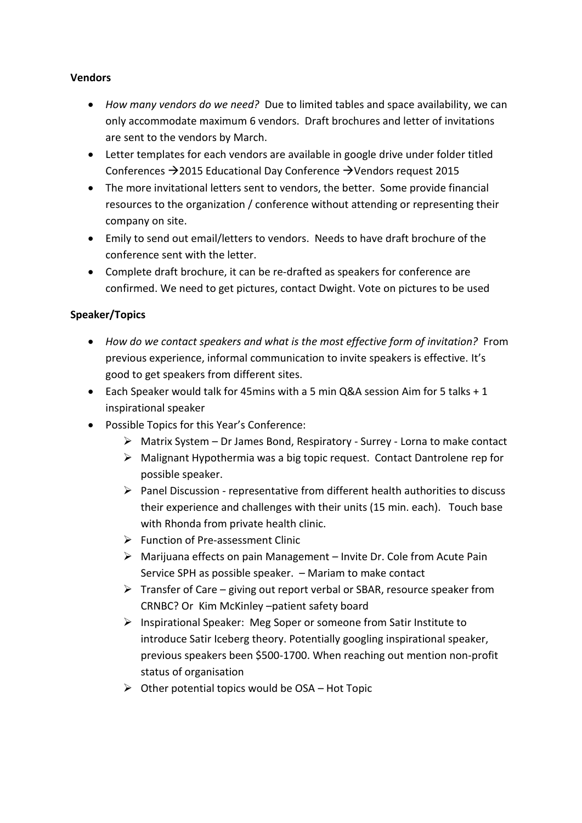# **Vendors**

- *How many vendors do we need?* Due to limited tables and space availability, we can only accommodate maximum 6 vendors. Draft brochures and letter of invitations are sent to the vendors by March.
- Letter templates for each vendors are available in google drive under folder titled Conferences  $\rightarrow$  2015 Educational Day Conference  $\rightarrow$  Vendors request 2015
- The more invitational letters sent to vendors, the better. Some provide financial resources to the organization / conference without attending or representing their company on site.
- Emily to send out email/letters to vendors. Needs to have draft brochure of the conference sent with the letter.
- Complete draft brochure, it can be re-drafted as speakers for conference are confirmed. We need to get pictures, contact Dwight. Vote on pictures to be used

# **Speaker/Topics**

- *How do we contact speakers and what is the most effective form of invitation?* From previous experience, informal communication to invite speakers is effective. It's good to get speakers from different sites.
- Each Speaker would talk for 45mins with a 5 min Q&A session Aim for 5 talks + 1 inspirational speaker
- Possible Topics for this Year's Conference:
	- $\triangleright$  Matrix System Dr James Bond, Respiratory Surrey Lorna to make contact
	- Malignant Hypothermia was a big topic request. Contact Dantrolene rep for possible speaker.
	- $\triangleright$  Panel Discussion representative from different health authorities to discuss their experience and challenges with their units (15 min. each). Touch base with Rhonda from private health clinic.
	- $\triangleright$  Function of Pre-assessment Clinic
	- $\triangleright$  Marijuana effects on pain Management Invite Dr. Cole from Acute Pain Service SPH as possible speaker. – Mariam to make contact
	- $\triangleright$  Transfer of Care giving out report verbal or SBAR, resource speaker from CRNBC? Or Kim McKinley –patient safety board
	- $\triangleright$  Inspirational Speaker: Meg Soper or someone from Satir Institute to introduce Satir Iceberg theory. Potentially googling inspirational speaker, previous speakers been \$500-1700. When reaching out mention non-profit status of organisation
	- $\triangleright$  Other potential topics would be OSA Hot Topic